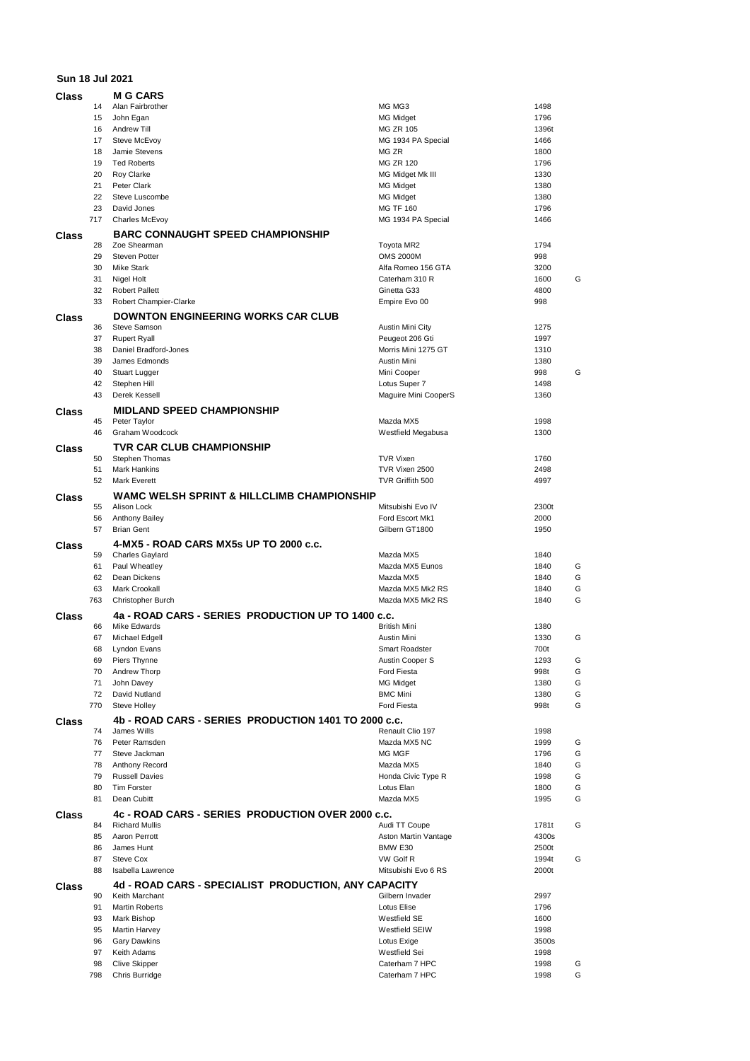## **Sun 18 Jul 2021 Class M G CARS**

| Class |           | M G CARS                                              |                                  |              |        |
|-------|-----------|-------------------------------------------------------|----------------------------------|--------------|--------|
|       | 14        | Alan Fairbrother                                      | MG MG3                           | 1498         |        |
|       | 15        | John Egan                                             | <b>MG Midget</b>                 | 1796         |        |
|       | 16        | Andrew Till                                           | <b>MG ZR 105</b>                 | 1396t        |        |
|       | 17        | Steve McEvoy                                          | MG 1934 PA Special               | 1466         |        |
|       | 18        | Jamie Stevens                                         | MG ZR                            | 1800         |        |
|       | 19        | <b>Ted Roberts</b>                                    | <b>MG ZR 120</b>                 | 1796         |        |
|       | 20        | Roy Clarke                                            | MG Midget Mk III                 | 1330         |        |
|       | 21        | Peter Clark                                           | <b>MG Midget</b>                 | 1380         |        |
|       | 22        | Steve Luscombe                                        | <b>MG Midget</b>                 | 1380         |        |
|       | 23        | David Jones                                           | <b>MG TF 160</b>                 | 1796         |        |
|       | 717       | <b>Charles McEvoy</b>                                 | MG 1934 PA Special               | 1466         |        |
|       |           |                                                       |                                  |              |        |
| Class |           | <b>BARC CONNAUGHT SPEED CHAMPIONSHIP</b>              |                                  |              |        |
|       | 28        | Zoe Shearman                                          | Toyota MR2                       | 1794         |        |
|       | 29        | <b>Steven Potter</b>                                  | <b>OMS 2000M</b>                 | 998          |        |
|       | 30        | <b>Mike Stark</b>                                     | Alfa Romeo 156 GTA               | 3200         |        |
|       | 31        | Nigel Holt                                            | Caterham 310 R                   | 1600         | G      |
|       | 32        | <b>Robert Pallett</b>                                 | Ginetta G33                      | 4800         |        |
|       | 33        | Robert Champier-Clarke                                | Empire Evo 00                    | 998          |        |
|       |           |                                                       |                                  |              |        |
| Class |           | <b>DOWNTON ENGINEERING WORKS CAR CLUB</b>             |                                  |              |        |
|       | 36        | <b>Steve Samson</b>                                   | Austin Mini City                 | 1275         |        |
|       | 37        | <b>Rupert Ryall</b>                                   | Peugeot 206 Gti                  | 1997         |        |
|       | 38        | Daniel Bradford-Jones                                 | Morris Mini 1275 GT              | 1310         |        |
|       | 39        | James Edmonds                                         | Austin Mini                      | 1380         |        |
|       | 40        | Stuart Lugger                                         | Mini Cooper                      | 998          | G      |
|       | 42        | Stephen Hill                                          | Lotus Super 7                    | 1498         |        |
|       | 43        | Derek Kessell                                         | Maguire Mini CooperS             | 1360         |        |
|       |           |                                                       |                                  |              |        |
| Class |           | <b>MIDLAND SPEED CHAMPIONSHIP</b>                     |                                  |              |        |
|       | 45        | Peter Taylor                                          | Mazda MX5                        | 1998         |        |
|       | 46        | Graham Woodcock                                       | Westfield Megabusa               | 1300         |        |
|       |           | TVR CAR CLUB CHAMPIONSHIP                             |                                  |              |        |
| Class |           |                                                       |                                  |              |        |
|       | 50        | Stephen Thomas                                        | <b>TVR Vixen</b>                 | 1760         |        |
|       | 51        | <b>Mark Hankins</b>                                   | TVR Vixen 2500                   | 2498         |        |
|       | 52        | <b>Mark Everett</b>                                   | TVR Griffith 500                 | 4997         |        |
| Class |           | <b>WAMC WELSH SPRINT &amp; HILLCLIMB CHAMPIONSHIP</b> |                                  |              |        |
|       | 55        | Alison Lock                                           | Mitsubishi Evo IV                | 2300t        |        |
|       | 56        | Anthony Bailey                                        | Ford Escort Mk1                  | 2000         |        |
|       | 57        | <b>Brian Gent</b>                                     | Gilbern GT1800                   | 1950         |        |
|       |           |                                                       |                                  |              |        |
|       |           |                                                       |                                  |              |        |
| Class |           | 4-MX5 - ROAD CARS MX5s UP TO 2000 c.c.                |                                  |              |        |
|       | 59        | <b>Charles Gaylard</b>                                | Mazda MX5                        | 1840         |        |
|       | 61        | Paul Wheatley                                         | Mazda MX5 Eunos                  | 1840         | G      |
|       | 62        | Dean Dickens                                          | Mazda MX5                        | 1840         | G      |
|       | 63        | Mark Crookall                                         | Mazda MX5 Mk2 RS                 | 1840         | G      |
|       |           | <b>Christopher Burch</b>                              | Mazda MX5 Mk2 RS                 |              |        |
|       | 763       |                                                       |                                  | 1840         | G      |
| Class |           | 4a - ROAD CARS - SERIES PRODUCTION UP TO 1400 c.c.    |                                  |              |        |
|       | 66        | Mike Edwards                                          | <b>British Mini</b>              | 1380         |        |
|       | 67        | Michael Edgell                                        | Austin Mini                      | 1330         | G      |
|       | 68        | Lyndon Evans                                          | Smart Roadster                   | 700t         |        |
|       | 69        | Piers Thynne                                          | Austin Cooper S                  | 1293         | G      |
|       | 70        | Andrew Thorp                                          | Ford Fiesta                      | 998t         | G      |
|       |           |                                                       |                                  |              |        |
|       | 71        | John Davey                                            | MG Midget                        | 1380         | G      |
|       | 72        | David Nutland                                         | <b>BMC Mini</b>                  | 1380         | G      |
|       | 770       | Steve Holley                                          | Ford Fiesta                      | 998t         | G      |
| Class |           | 4b - ROAD CARS - SERIES PRODUCTION 1401 TO 2000 c.c.  |                                  |              |        |
|       | 74        | James Wills                                           | Renault Clio 197                 | 1998         |        |
|       | 76        | Peter Ramsden                                         | Mazda MX5 NC                     | 1999         | G      |
|       | 77        | Steve Jackman                                         | <b>MG MGF</b>                    | 1796         | G      |
|       | 78        | Anthony Record                                        | Mazda MX5                        | 1840         | G      |
|       |           |                                                       |                                  |              |        |
|       | 79        | <b>Russell Davies</b>                                 | Honda Civic Type R               | 1998         | G      |
|       | 80        | <b>Tim Forster</b>                                    | Lotus Elan                       | 1800         | G      |
|       | 81        | Dean Cubitt                                           | Mazda MX5                        | 1995         | G      |
| Class |           | 4c - ROAD CARS - SERIES PRODUCTION OVER 2000 c.c.     |                                  |              |        |
|       | 84        | <b>Richard Mullis</b>                                 | Audi TT Coupe                    | 1781t        | G      |
|       | 85        | Aaron Perrott                                         | Aston Martin Vantage             | 4300s        |        |
|       | 86        | James Hunt                                            | BMW E30                          | 2500t        |        |
|       |           |                                                       |                                  |              |        |
|       | 87        | Steve Cox                                             | VW Golf R                        | 1994t        | G      |
|       | 88        | Isabella Lawrence                                     | Mitsubishi Evo 6 RS              | 2000t        |        |
| Class |           | 4d - ROAD CARS - SPECIALIST PRODUCTION, ANY CAPACITY  |                                  |              |        |
|       | 90        | Keith Marchant                                        | Gilbern Invader                  | 2997         |        |
|       | 91        | <b>Martin Roberts</b>                                 | Lotus Elise                      | 1796         |        |
|       | 93        | Mark Bishop                                           | Westfield SE                     | 1600         |        |
|       | 95        | <b>Martin Harvey</b>                                  | Westfield SEIW                   | 1998         |        |
|       |           |                                                       |                                  |              |        |
|       | 96        | <b>Gary Dawkins</b>                                   | Lotus Exige                      | 3500s        |        |
|       | 97        | Keith Adams                                           | Westfield Sei                    | 1998         |        |
|       | 98<br>798 | <b>Clive Skipper</b><br>Chris Burridge                | Caterham 7 HPC<br>Caterham 7 HPC | 1998<br>1998 | G<br>G |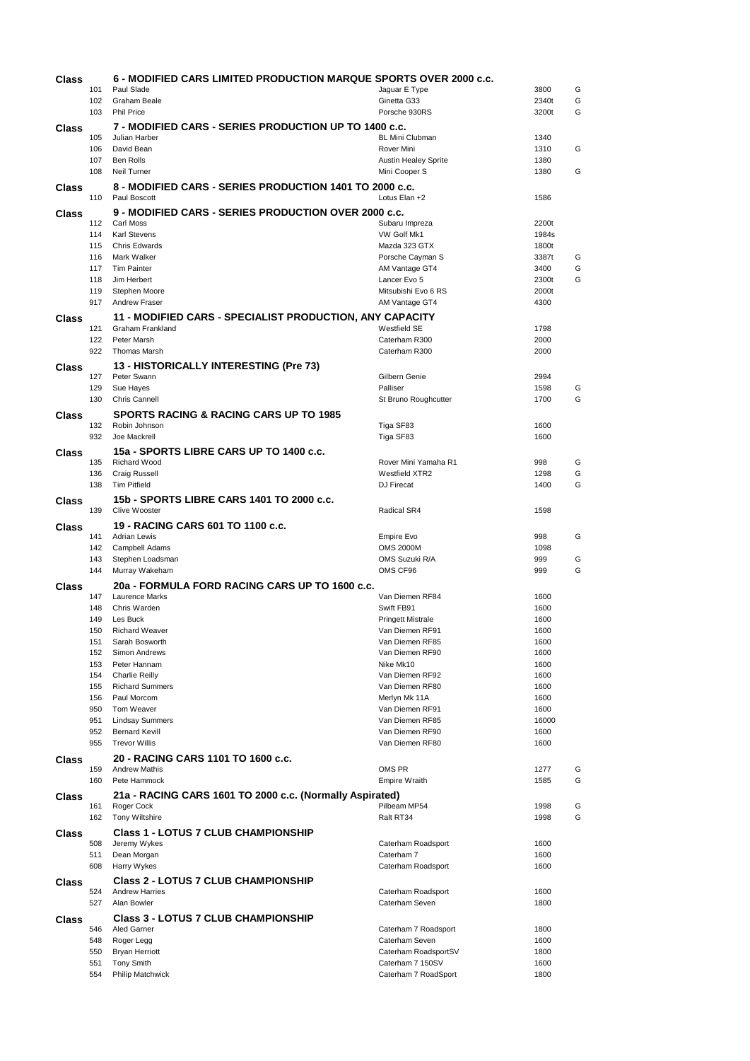| Class |            | 6 - MODIFIED CARS LIMITED PRODUCTION MARQUE SPORTS OVER 2000 c.c. |                                        |               |        |  |  |  |  |
|-------|------------|-------------------------------------------------------------------|----------------------------------------|---------------|--------|--|--|--|--|
|       | 101<br>102 | Paul Slade<br>Graham Beale                                        | Jaguar E Type<br>Ginetta G33           | 3800<br>2340t | G<br>G |  |  |  |  |
|       | 103        | <b>Phil Price</b>                                                 | Porsche 930RS                          | 3200t         | G      |  |  |  |  |
| Class |            | 7 - MODIFIED CARS - SERIES PRODUCTION UP TO 1400 c.c.             |                                        |               |        |  |  |  |  |
|       | 105        | Julian Harber                                                     | <b>BL Mini Clubman</b>                 | 1340          |        |  |  |  |  |
|       | 106        | David Bean                                                        | Rover Mini                             | 1310          | G      |  |  |  |  |
|       | 107        | Ben Rolls                                                         | <b>Austin Healey Sprite</b>            | 1380          |        |  |  |  |  |
|       | 108        | Neil Turner                                                       | Mini Cooper S                          | 1380          | G      |  |  |  |  |
| Class | 110        | 8 - MODIFIED CARS - SERIES PRODUCTION 1401 TO 2000 c.c.           |                                        |               |        |  |  |  |  |
|       |            | Paul Boscott<br>Lotus Elan +2<br>1586                             |                                        |               |        |  |  |  |  |
| Class | 112        | 9 - MODIFIED CARS - SERIES PRODUCTION OVER 2000 c.c.<br>Carl Moss | Subaru Impreza                         | 2200t         |        |  |  |  |  |
|       | 114        | Karl Stevens                                                      | VW Golf Mk1                            | 1984s         |        |  |  |  |  |
|       | 115        | <b>Chris Edwards</b>                                              | Mazda 323 GTX                          | 1800t         |        |  |  |  |  |
|       | 116        | Mark Walker                                                       | Porsche Cayman S                       | 3387t         | G      |  |  |  |  |
|       | 117<br>118 | <b>Tim Painter</b><br>Jim Herbert                                 | AM Vantage GT4<br>Lancer Evo 5         | 3400<br>2300t | G<br>G |  |  |  |  |
|       | 119        | Stephen Moore                                                     | Mitsubishi Evo 6 RS                    | 2000t         |        |  |  |  |  |
|       | 917        | <b>Andrew Fraser</b>                                              | AM Vantage GT4                         | 4300          |        |  |  |  |  |
| Class |            | 11 - MODIFIED CARS - SPECIALIST PRODUCTION, ANY CAPACITY          |                                        |               |        |  |  |  |  |
|       | 121        | Graham Frankland                                                  | Westfield SE                           | 1798          |        |  |  |  |  |
|       | 122        | Peter Marsh                                                       | Caterham R300                          | 2000          |        |  |  |  |  |
|       | 922        | <b>Thomas Marsh</b>                                               | Caterham R300                          | 2000          |        |  |  |  |  |
| Class | 127        | 13 - HISTORICALLY INTERESTING (Pre 73)<br>Peter Swann             | Gilbern Genie                          | 2994          |        |  |  |  |  |
|       | 129        | Sue Hayes                                                         | Palliser                               | 1598          | G      |  |  |  |  |
|       | 130        | <b>Chris Cannell</b>                                              | St Bruno Roughcutter                   | 1700          | G      |  |  |  |  |
| Class |            | <b>SPORTS RACING &amp; RACING CARS UP TO 1985</b>                 |                                        |               |        |  |  |  |  |
|       | 132        | Robin Johnson                                                     | Tiga SF83                              | 1600          |        |  |  |  |  |
|       | 932        | Joe Mackrell                                                      | Tiga SF83                              | 1600          |        |  |  |  |  |
| Class |            | 15a - SPORTS LIBRE CARS UP TO 1400 c.c.                           |                                        |               |        |  |  |  |  |
|       | 135<br>136 | Richard Wood<br>Craig Russell                                     | Rover Mini Yamaha R1<br>Westfield XTR2 | 998<br>1298   | G<br>G |  |  |  |  |
|       | 138        | <b>Tim Pitfield</b>                                               | DJ Firecat                             | 1400          | G      |  |  |  |  |
| Class |            | 15b - SPORTS LIBRE CARS 1401 TO 2000 c.c.                         |                                        |               |        |  |  |  |  |
|       | 139        | Clive Wooster                                                     | Radical SR4                            | 1598          |        |  |  |  |  |
| Class |            | 19 - RACING CARS 601 TO 1100 c.c.                                 |                                        |               |        |  |  |  |  |
|       | 141        | <b>Adrian Lewis</b>                                               | <b>Empire Evo</b>                      | 998           | G      |  |  |  |  |
|       | 142<br>143 | Campbell Adams<br>Stephen Loadsman                                | <b>OMS 2000M</b><br>OMS Suzuki R/A     | 1098<br>999   | G      |  |  |  |  |
|       | 144        | Murray Wakeham                                                    | OMS CF96                               | 999           | G      |  |  |  |  |
| Class |            | 20a - FORMULA FORD RACING CARS UP TO 1600 c.c.                    |                                        |               |        |  |  |  |  |
|       | 147        | Laurence Marks                                                    | Van Diemen RF84                        | 1600          |        |  |  |  |  |
|       | 148        | Chris Warden                                                      | Swift FB91                             | 1600          |        |  |  |  |  |
|       | 149        | Les Buck                                                          | <b>Pringett Mistrale</b>               | 1600          |        |  |  |  |  |
|       | 150<br>151 | <b>Richard Weaver</b><br>Sarah Bosworth                           | Van Diemen RF91<br>Van Diemen RF85     | 1600<br>1600  |        |  |  |  |  |
|       | 152        | Simon Andrews                                                     | Van Diemen RF90                        | 1600          |        |  |  |  |  |
|       | 153        | Peter Hannam                                                      | Nike Mk10                              | 1600          |        |  |  |  |  |
|       | 154        | <b>Charlie Reilly</b>                                             | Van Diemen RF92                        | 1600          |        |  |  |  |  |
|       | 155<br>156 | <b>Richard Summers</b><br>Paul Morcom                             | Van Diemen RF80<br>Merlyn Mk 11A       | 1600<br>1600  |        |  |  |  |  |
|       | 950        | Tom Weaver                                                        | Van Diemen RF91                        | 1600          |        |  |  |  |  |
|       | 951        | <b>Lindsay Summers</b>                                            | Van Diemen RF85                        | 16000         |        |  |  |  |  |
|       | 952        | <b>Bernard Kevill</b><br><b>Trevor Willis</b>                     | Van Diemen RF90                        | 1600          |        |  |  |  |  |
|       | 955        |                                                                   | Van Diemen RF80                        | 1600          |        |  |  |  |  |
| Class | 159        | 20 - RACING CARS 1101 TO 1600 c.c.<br><b>Andrew Mathis</b>        | OMS PR                                 | 1277          | G      |  |  |  |  |
|       | 160        | Pete Hammock                                                      | Empire Wraith                          | 1585          | G      |  |  |  |  |
| Class |            | 21a - RACING CARS 1601 TO 2000 c.c. (Normally Aspirated)          |                                        |               |        |  |  |  |  |
|       | 161        | Roger Cock                                                        | Pilbeam MP54                           | 1998          | G      |  |  |  |  |
|       | 162        | <b>Tony Wiltshire</b>                                             | Ralt RT34                              | 1998          | G      |  |  |  |  |
| Class |            | <b>Class 1 - LOTUS 7 CLUB CHAMPIONSHIP</b>                        |                                        |               |        |  |  |  |  |
|       | 508        | Jeremy Wykes                                                      | Caterham Roadsport                     | 1600          |        |  |  |  |  |
|       | 511<br>608 | Dean Morgan<br>Harry Wykes                                        | Caterham 7<br>Caterham Roadsport       | 1600<br>1600  |        |  |  |  |  |
|       |            | <b>Class 2 - LOTUS 7 CLUB CHAMPIONSHIP</b>                        |                                        |               |        |  |  |  |  |
| Class | 524        | <b>Andrew Harries</b>                                             | Caterham Roadsport                     | 1600          |        |  |  |  |  |
|       | 527        | Alan Bowler                                                       | Caterham Seven                         | 1800          |        |  |  |  |  |
| Class |            | <b>Class 3 - LOTUS 7 CLUB CHAMPIONSHIP</b>                        |                                        |               |        |  |  |  |  |
|       | 546        | Aled Garner                                                       | Caterham 7 Roadsport                   | 1800          |        |  |  |  |  |
|       | 548<br>550 | Roger Legg<br><b>Bryan Herriott</b>                               | Caterham Seven<br>Caterham RoadsportSV | 1600<br>1800  |        |  |  |  |  |
|       | 551        | <b>Tony Smith</b>                                                 | Caterham 7 150SV                       | 1600          |        |  |  |  |  |
|       | 554        | Philip Matchwick                                                  | Caterham 7 RoadSport                   | 1800          |        |  |  |  |  |